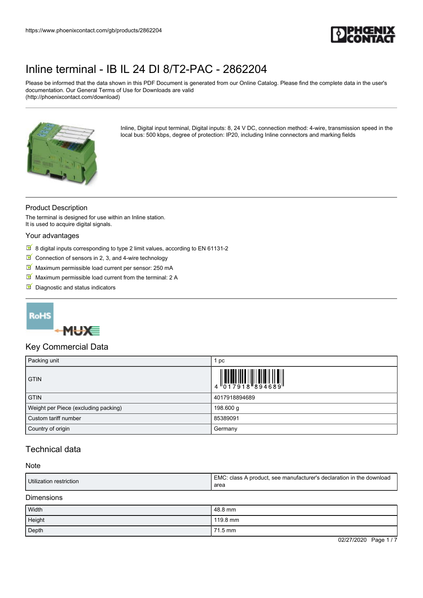

Please be informed that the data shown in this PDF Document is generated from our Online Catalog. Please find the complete data in the user's documentation. Our General Terms of Use for Downloads are valid (http://phoenixcontact.com/download)



Inline, Digital input terminal, Digital inputs: 8, 24 V DC, connection method: 4-wire, transmission speed in the local bus: 500 kbps, degree of protection: IP20, including Inline connectors and marking fields

### Product Description

The terminal is designed for use within an Inline station. It is used to acquire digital signals.

#### Your advantages

- $8$  digital inputs corresponding to type 2 limit values, according to EN 61131-2
- Connection of sensors in 2, 3, and 4-wire technology
- Maximum permissible load current per sensor: 250 mA
- $M$  Maximum permissible load current from the terminal: 2 A
- Diagnostic and status indicators

## **RoHS**



### Key Commercial Data

| Packing unit                         | pc                                                                                                                                                                                                                                                                                                                          |
|--------------------------------------|-----------------------------------------------------------------------------------------------------------------------------------------------------------------------------------------------------------------------------------------------------------------------------------------------------------------------------|
| <b>GTIN</b>                          | $\begin{array}{c} 1 & 0 & 0 & 0 \\ 0 & 0 & 1 & 0 & 0 \\ 0 & 0 & 1 & 0 & 0 \\ 0 & 0 & 0 & 0 & 0 \\ 0 & 0 & 0 & 0 & 0 \\ 0 & 0 & 0 & 0 & 0 \\ 0 & 0 & 0 & 0 & 0 \\ 0 & 0 & 0 & 0 & 0 \\ 0 & 0 & 0 & 0 & 0 \\ 0 & 0 & 0 & 0 & 0 \\ 0 & 0 & 0 & 0 & 0 & 0 \\ 0 & 0 & 0 & 0 & 0 & 0 \\ 0 & 0 & 0 & 0 & 0 & 0 & 0 \\ 0 & 0 & 0 &$ |
| <b>GTIN</b>                          | 4017918894689                                                                                                                                                                                                                                                                                                               |
| Weight per Piece (excluding packing) | 198.600 g                                                                                                                                                                                                                                                                                                                   |
| Custom tariff number                 | 85389091                                                                                                                                                                                                                                                                                                                    |
| Country of origin                    | Germany                                                                                                                                                                                                                                                                                                                     |

## Technical data

#### Note

| Utilization restriction | EMC.<br>', see manufacturer's declaration in the download<br>. class A product.<br>area |
|-------------------------|-----------------------------------------------------------------------------------------|
|-------------------------|-----------------------------------------------------------------------------------------|

Dimensions

| Width  | 48.8 mm  |
|--------|----------|
| Height | 119.8 mm |
| Depth  | 71.5 mm  |

02/27/2020 Page 1 / 7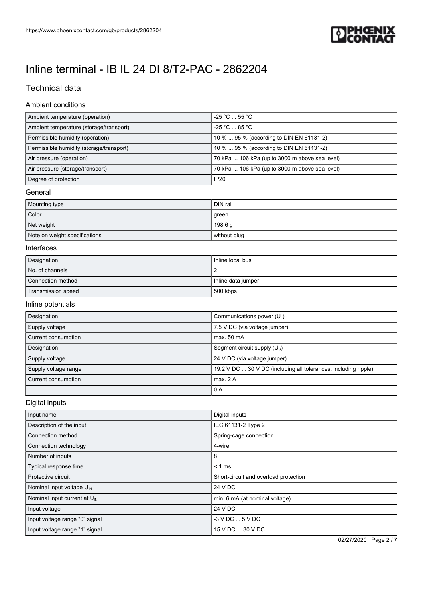

## Technical data

### Ambient conditions

| Ambient temperature (operation)          | $-25 °C \dots 55 °C$                           |
|------------------------------------------|------------------------------------------------|
| Ambient temperature (storage/transport)  | $-25 °C \dots 85 °C$                           |
| Permissible humidity (operation)         | 10 %  95 % (according to DIN EN 61131-2)       |
| Permissible humidity (storage/transport) | 10 %  95 % (according to DIN EN 61131-2)       |
| Air pressure (operation)                 | 70 kPa  106 kPa (up to 3000 m above sea level) |
| Air pressure (storage/transport)         | 70 kPa  106 kPa (up to 3000 m above sea level) |
| Degree of protection                     | <b>IP20</b>                                    |

### General

| Mounting type                 | DIN rail           |
|-------------------------------|--------------------|
| Color                         | green              |
| Net weight                    | 198.6 <sub>q</sub> |
| Note on weight specifications | without plug       |

### Interfaces

| Designation        | Inline local bus   |
|--------------------|--------------------|
| No. of channels    |                    |
| Connection method  | Inline data jumper |
| Transmission speed | 500 kbps           |

### Inline potentials

| Designation          | Communications power $(U_1)$                                    |
|----------------------|-----------------------------------------------------------------|
| Supply voltage       | 7.5 V DC (via voltage jumper)                                   |
| Current consumption  | max. 50 mA                                                      |
| Designation          | Segment circuit supply $(U_s)$                                  |
| Supply voltage       | 24 V DC (via voltage jumper)                                    |
| Supply voltage range | 19.2 V DC  30 V DC (including all tolerances, including ripple) |
| Current consumption  | max. 2A                                                         |
|                      | 0 A                                                             |

### Digital inputs

| Input name                               | Digital inputs                        |
|------------------------------------------|---------------------------------------|
| Description of the input                 | IEC 61131-2 Type 2                    |
| Connection method                        | Spring-cage connection                |
| Connection technology                    | 4-wire                                |
| Number of inputs                         | 8                                     |
| Typical response time                    | $< 1$ ms                              |
| Protective circuit                       | Short-circuit and overload protection |
| Nominal input voltage U <sub>IN</sub>    | 24 V DC                               |
| Nominal input current at $U_{\text{IN}}$ | min. 6 mA (at nominal voltage)        |
| Input voltage                            | 24 V DC                               |
| Input voltage range "0" signal           | $-3$ V DC $$ 5 V DC                   |
| Input voltage range "1" signal           | 15 V DC  30 V DC                      |

02/27/2020 Page 2 / 7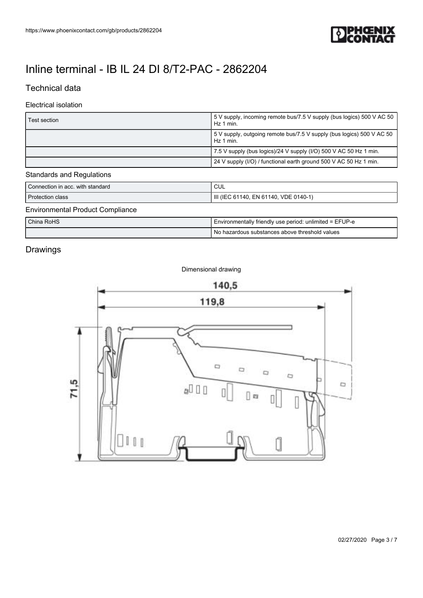

## Technical data

### Electrical isolation

| Test section | 5 V supply, incoming remote bus/7.5 V supply (bus logics) 500 V AC 50<br>Hz 1 min. |
|--------------|------------------------------------------------------------------------------------|
|              | 5 V supply, outgoing remote bus/7.5 V supply (bus logics) 500 V AC 50<br>Hz 1 min. |
|              | 7.5 V supply (bus logics)/24 V supply (I/O) 500 V AC 50 Hz 1 min.                  |
|              | 24 V supply (I/O) / functional earth ground 500 V AC 50 Hz 1 min.                  |

### Standards and Regulations

| Connection in acc. with standard | CUL                                                     |
|----------------------------------|---------------------------------------------------------|
| <b>Protection class</b>          | III (IEC 61140, EN 61140, VDE 0140-1)                   |
| Environmental Product Compliance |                                                         |
| China RoHS                       | Environmentally friendly use period: unlimited = EFUP-e |

## Drawings



Dimensional drawing

No hazardous substances above threshold values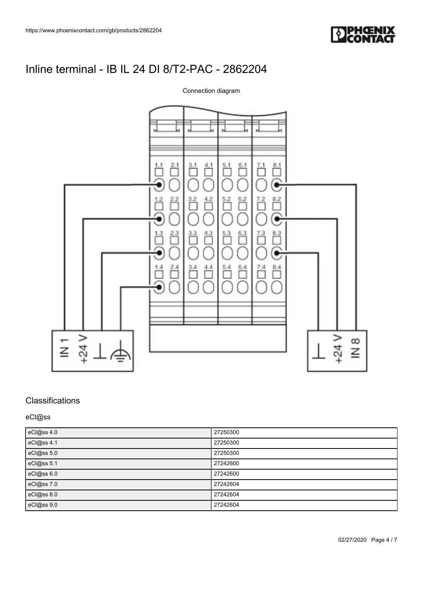

### Connection diagram



## **Classifications**

eCl@ss

| eCl@ss 4.0 | 27250300 |
|------------|----------|
| eCl@ss 4.1 | 27250300 |
| eCl@ss 5.0 | 27250300 |
| eCl@ss 5.1 | 27242600 |
| eCl@ss 6.0 | 27242600 |
| eCl@ss 7.0 | 27242604 |
| eCl@ss 8.0 | 27242604 |
| eCl@ss 9.0 | 27242604 |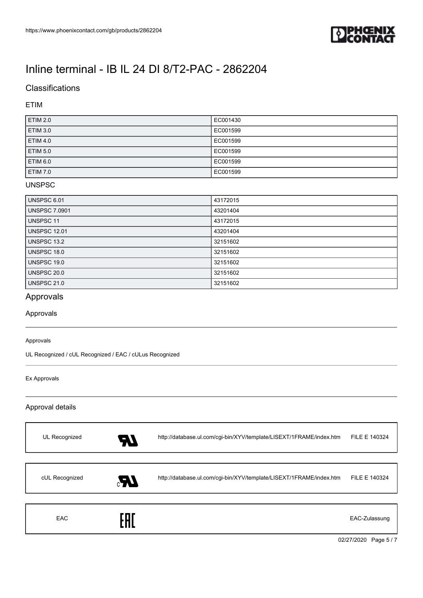

## **Classifications**

### ETIM

| <b>ETIM 2.0</b> | EC001430 |
|-----------------|----------|
| <b>ETIM 3.0</b> | EC001599 |
| <b>ETIM 4.0</b> | EC001599 |
| <b>ETIM 5.0</b> | EC001599 |
| ETIM 6.0        | EC001599 |
| <b>ETIM 7.0</b> | EC001599 |

### UNSPSC

| <b>UNSPSC 6.01</b>   | 43172015 |
|----------------------|----------|
| <b>UNSPSC 7.0901</b> | 43201404 |
| UNSPSC 11            | 43172015 |
| <b>UNSPSC 12.01</b>  | 43201404 |
| UNSPSC 13.2          | 32151602 |
| <b>UNSPSC 18.0</b>   | 32151602 |
| UNSPSC 19.0          | 32151602 |
| UNSPSC 20.0          | 32151602 |
| <b>UNSPSC 21.0</b>   | 32151602 |

## Approvals

Approvals

#### Approvals

UL Recognized / cUL Recognized / EAC / cULus Recognized

#### Ex Approvals

#### Approval details

| <b>EAC</b>     | FAT |                                                                     | EAC-Zulassung |
|----------------|-----|---------------------------------------------------------------------|---------------|
| cUL Recognized | Æ.  | http://database.ul.com/cgi-bin/XYV/template/LISEXT/1FRAME/index.htm | FILE E 140324 |
| UL Recognized  | 97  | http://database.ul.com/cgi-bin/XYV/template/LISEXT/1FRAME/index.htm | FILE E 140324 |

02/27/2020 Page 5 / 7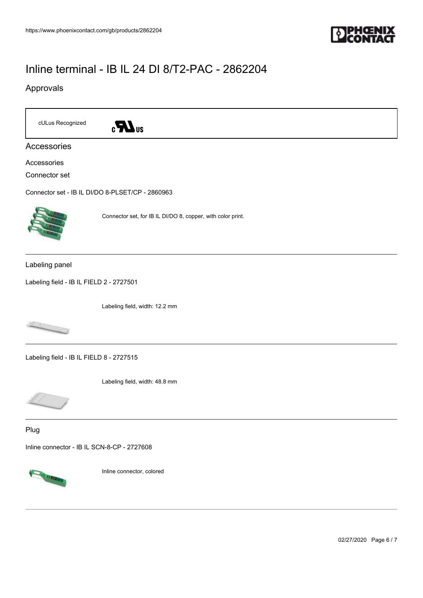

### Approvals



Accessories

Accessories

Connector set

[Connector set - IB IL DI/DO 8-PLSET/CP - 2860963](https://www.phoenixcontact.com/gb/products/2860963)



Connector set, for IB IL DI/DO 8, copper, with color print.

Labeling panel

[Labeling field - IB IL FIELD 2 - 2727501](https://www.phoenixcontact.com/gb/products/2727501)

Labeling field, width: 12.2 mm



[Labeling field - IB IL FIELD 8 - 2727515](https://www.phoenixcontact.com/gb/products/2727515)

Labeling field, width: 48.8 mm



Plug

[Inline connector - IB IL SCN-8-CP - 2727608](https://www.phoenixcontact.com/gb/products/2727608)



Inline connector, colored

02/27/2020 Page 6 / 7